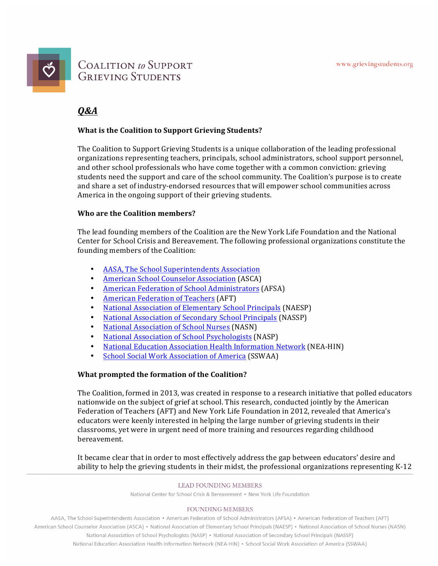

## **COALITION** to SUPPORT **GRIEVING STUDENTS**

## *Q&A*

### **What is the Coalition to Support Grieving Students?**

The Coalition to Support Grieving Students is a unique collaboration of the leading professional organizations representing teachers, principals, school administrators, school support personnel, and other school professionals who have come together with a common conviction: grieving students need the support and care of the school community. The Coalition's purpose is to create and share a set of industry-endorsed resources that will empower school communities across America in the ongoing support of their grieving students.

#### **Who are the Coalition members?**

The lead founding members of the Coalition are the New York Life Foundation and the National Center for School Crisis and Bereavement. The following professional organizations constitute the founding members of the Coalition:

- AASA, The School Superintendents Association
- American School Counselor Association (ASCA)
- American Federation of School Administrators (AFSA)
- American Federation of Teachers (AFT)
- National Association of Elementary School Principals (NAESP)
- **National Association of Secondary School Principals (NASSP)**
- National Association of School Nurses (NASN)
- National Association of School Psychologists (NASP)
- National Education Association Health Information Network (NEA-HIN)
- School Social Work Association of America (SSWAA)

### **What prompted the formation of the Coalition?**

The Coalition, formed in 2013, was created in response to a research initiative that polled educators nationwide on the subject of grief at school. This research, conducted jointly by the American Federation of Teachers (AFT) and New York Life Foundation in 2012, revealed that America's educators were keenly interested in helping the large number of grieving students in their classrooms, yet were in urgent need of more training and resources regarding childhood bereavement. 

It became clear that in order to most effectively address the gap between educators' desire and ability to help the grieving students in their midst, the professional organizations representing K-12

#### **LEAD FOUNDING MEMBERS**

National Center for School Crisis & Bereavement • New York Life Foundation

#### **FOUNDING MEMBERS**

AASA, The School Superintendents Association • American Federation of School Administrators (AFSA) • American Federation of Teachers (AFT) American School Counselor Association (ASCA) • National Association of Elementary School Principals (NAESP) • National Association of School Nurses (NASN) National Association of School Psychologists (NASP) • National Association of Secondary School Principals (NASSP) National Education Association Health Information Network (NEA HIN) . School Social Work Association of America (SSWAA)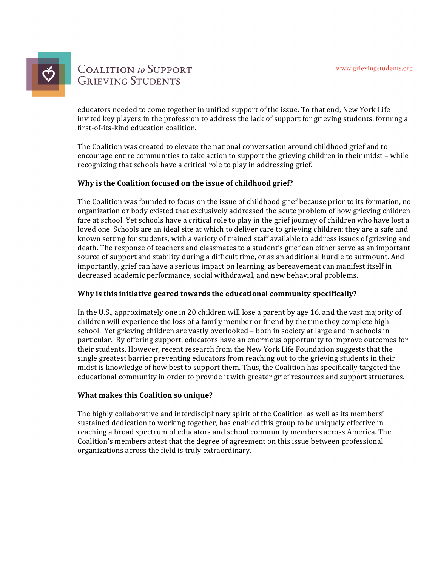

# **COALITION** to SUPPORT **GRIEVING STUDENTS**

educators needed to come together in unified support of the issue. To that end, New York Life invited key players in the profession to address the lack of support for grieving students, forming a first-of-its-kind education coalition.

The Coalition was created to elevate the national conversation around childhood grief and to encourage entire communities to take action to support the grieving children in their midst – while recognizing that schools have a critical role to play in addressing grief.

### Why is the Coalition focused on the issue of childhood grief?

The Coalition was founded to focus on the issue of childhood grief because prior to its formation, no organization or body existed that exclusively addressed the acute problem of how grieving children fare at school. Yet schools have a critical role to play in the grief journey of children who have lost a loved one. Schools are an ideal site at which to deliver care to grieving children: they are a safe and known setting for students, with a variety of trained staff available to address issues of grieving and death. The response of teachers and classmates to a student's grief can either serve as an important source of support and stability during a difficult time, or as an additional hurdle to surmount. And importantly, grief can have a serious impact on learning, as bereavement can manifest itself in decreased academic performance, social withdrawal, and new behavioral problems.

#### **Why is this initiative geared towards the educational community specifically?**

In the U.S., approximately one in 20 children will lose a parent by age 16, and the vast majority of children will experience the loss of a family member or friend by the time they complete high school. Yet grieving children are vastly overlooked – both in society at large and in schools in particular. By offering support, educators have an enormous opportunity to improve outcomes for their students. However, recent research from the New York Life Foundation suggests that the single greatest barrier preventing educators from reaching out to the grieving students in their midst is knowledge of how best to support them. Thus, the Coalition has specifically targeted the educational community in order to provide it with greater grief resources and support structures.

#### **What makes this Coalition so unique?**

The highly collaborative and interdisciplinary spirit of the Coalition, as well as its members' sustained dedication to working together, has enabled this group to be uniquely effective in reaching a broad spectrum of educators and school community members across America. The Coalition's members attest that the degree of agreement on this issue between professional organizations across the field is truly extraordinary.